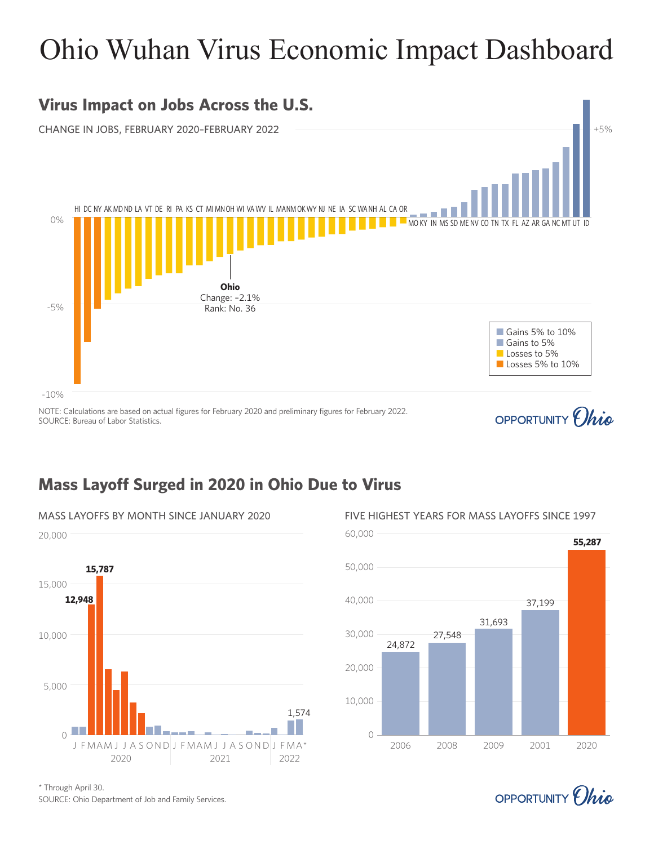# Ohio Wuhan Virus Economic Impact Dashboard



### **Mass Layoff Surged in 2020 in Ohio Due to Virus**



SOURCE: Ohio Department of Job and Family Services. \* Through April 30.



OPPORTUNITY *(hig*